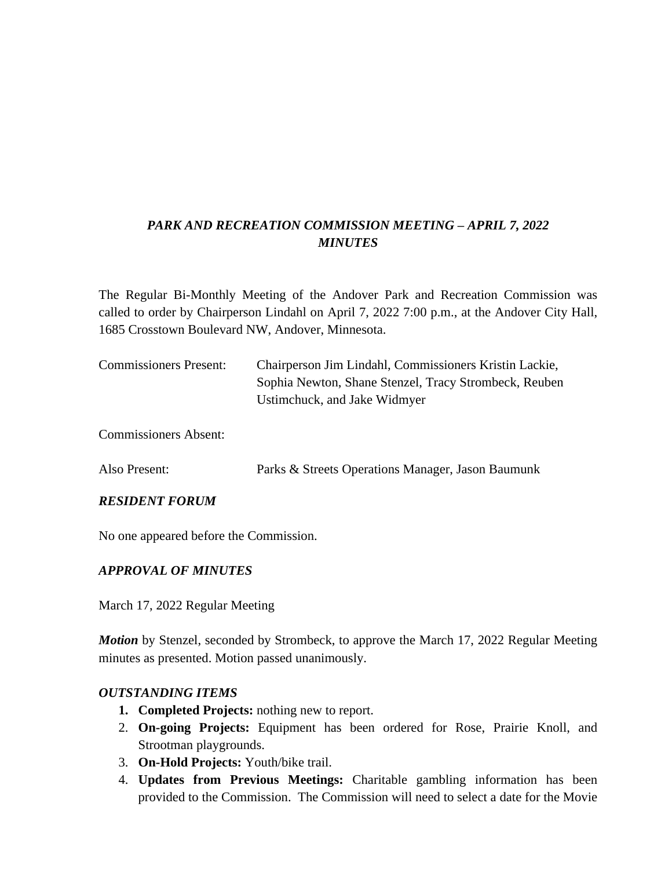# *PARK AND RECREATION COMMISSION MEETING – APRIL 7, 2022 MINUTES*

The Regular Bi-Monthly Meeting of the Andover Park and Recreation Commission was called to order by Chairperson Lindahl on April 7, 2022 7:00 p.m., at the Andover City Hall, 1685 Crosstown Boulevard NW, Andover, Minnesota.

| <b>Commissioners Present:</b> | Chairperson Jim Lindahl, Commissioners Kristin Lackie, |
|-------------------------------|--------------------------------------------------------|
|                               | Sophia Newton, Shane Stenzel, Tracy Strombeck, Reuben  |
|                               | Ustimchuck, and Jake Widmyer                           |
| <b>Commissioners Absent:</b>  |                                                        |

Also Present: Parks & Streets Operations Manager, Jason Baumunk

### *RESIDENT FORUM*

No one appeared before the Commission.

### *APPROVAL OF MINUTES*

March 17, 2022 Regular Meeting

*Motion* by Stenzel, seconded by Strombeck, to approve the March 17, 2022 Regular Meeting minutes as presented. Motion passed unanimously.

### *OUTSTANDING ITEMS*

- **1. Completed Projects:** nothing new to report.
- 2. **On-going Projects:** Equipment has been ordered for Rose, Prairie Knoll, and Strootman playgrounds.
- 3. **On-Hold Projects:** Youth/bike trail.
- 4. **Updates from Previous Meetings:** Charitable gambling information has been provided to the Commission. The Commission will need to select a date for the Movie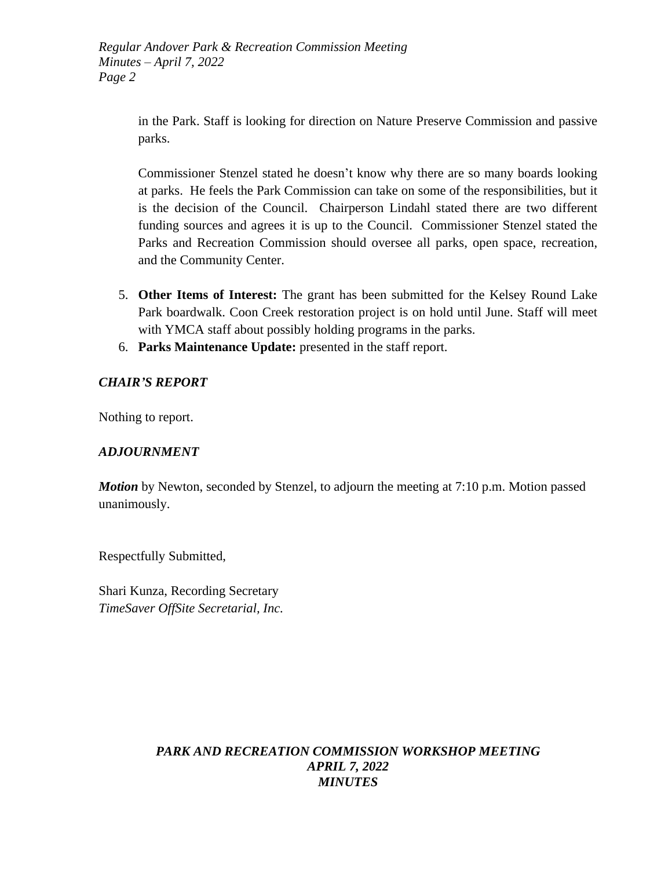> in the Park. Staff is looking for direction on Nature Preserve Commission and passive parks.

> Commissioner Stenzel stated he doesn't know why there are so many boards looking at parks. He feels the Park Commission can take on some of the responsibilities, but it is the decision of the Council. Chairperson Lindahl stated there are two different funding sources and agrees it is up to the Council. Commissioner Stenzel stated the Parks and Recreation Commission should oversee all parks, open space, recreation, and the Community Center.

- 5. **Other Items of Interest:** The grant has been submitted for the Kelsey Round Lake Park boardwalk. Coon Creek restoration project is on hold until June. Staff will meet with YMCA staff about possibly holding programs in the parks.
- 6. **Parks Maintenance Update:** presented in the staff report.

### *CHAIR'S REPORT*

Nothing to report.

### *ADJOURNMENT*

*Motion* by Newton, seconded by Stenzel, to adjourn the meeting at 7:10 p.m. Motion passed unanimously.

Respectfully Submitted,

Shari Kunza, Recording Secretary *TimeSaver OffSite Secretarial, Inc.*

### *PARK AND RECREATION COMMISSION WORKSHOP MEETING APRIL 7, 2022 MINUTES*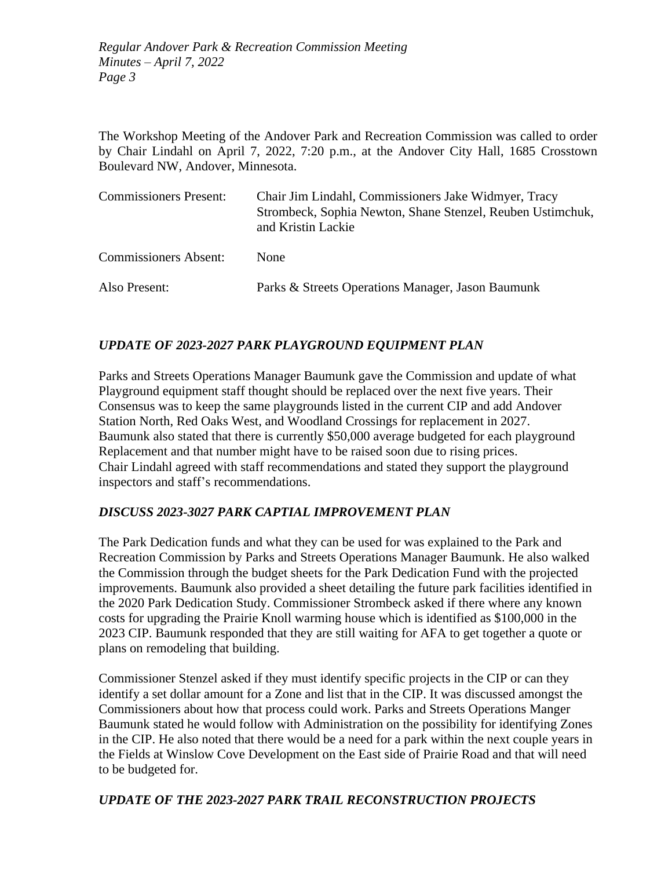The Workshop Meeting of the Andover Park and Recreation Commission was called to order by Chair Lindahl on April 7, 2022, 7:20 p.m., at the Andover City Hall, 1685 Crosstown Boulevard NW, Andover, Minnesota.

| <b>Commissioners Present:</b> | Chair Jim Lindahl, Commissioners Jake Widmyer, Tracy<br>Strombeck, Sophia Newton, Shane Stenzel, Reuben Ustimchuk,<br>and Kristin Lackie |
|-------------------------------|------------------------------------------------------------------------------------------------------------------------------------------|
| <b>Commissioners Absent:</b>  | <b>None</b>                                                                                                                              |
| Also Present:                 | Parks & Streets Operations Manager, Jason Baumunk                                                                                        |

# *UPDATE OF 2023-2027 PARK PLAYGROUND EQUIPMENT PLAN*

Parks and Streets Operations Manager Baumunk gave the Commission and update of what Playground equipment staff thought should be replaced over the next five years. Their Consensus was to keep the same playgrounds listed in the current CIP and add Andover Station North, Red Oaks West, and Woodland Crossings for replacement in 2027. Baumunk also stated that there is currently \$50,000 average budgeted for each playground Replacement and that number might have to be raised soon due to rising prices. Chair Lindahl agreed with staff recommendations and stated they support the playground inspectors and staff's recommendations.

# *DISCUSS 2023-3027 PARK CAPTIAL IMPROVEMENT PLAN*

The Park Dedication funds and what they can be used for was explained to the Park and Recreation Commission by Parks and Streets Operations Manager Baumunk. He also walked the Commission through the budget sheets for the Park Dedication Fund with the projected improvements. Baumunk also provided a sheet detailing the future park facilities identified in the 2020 Park Dedication Study. Commissioner Strombeck asked if there where any known costs for upgrading the Prairie Knoll warming house which is identified as \$100,000 in the 2023 CIP. Baumunk responded that they are still waiting for AFA to get together a quote or plans on remodeling that building.

Commissioner Stenzel asked if they must identify specific projects in the CIP or can they identify a set dollar amount for a Zone and list that in the CIP. It was discussed amongst the Commissioners about how that process could work. Parks and Streets Operations Manger Baumunk stated he would follow with Administration on the possibility for identifying Zones in the CIP. He also noted that there would be a need for a park within the next couple years in the Fields at Winslow Cove Development on the East side of Prairie Road and that will need to be budgeted for.

# *UPDATE OF THE 2023-2027 PARK TRAIL RECONSTRUCTION PROJECTS*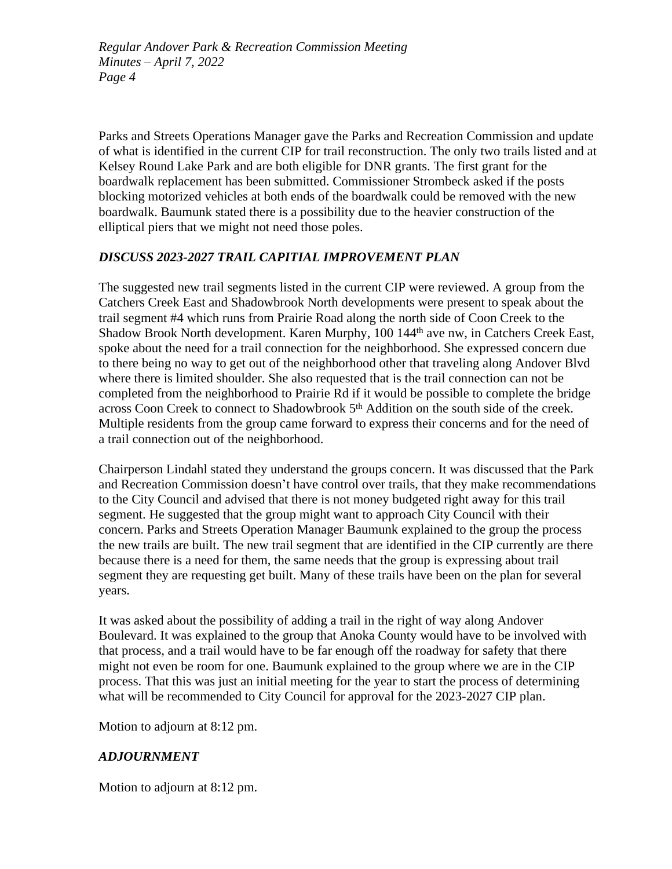Parks and Streets Operations Manager gave the Parks and Recreation Commission and update of what is identified in the current CIP for trail reconstruction. The only two trails listed and at Kelsey Round Lake Park and are both eligible for DNR grants. The first grant for the boardwalk replacement has been submitted. Commissioner Strombeck asked if the posts blocking motorized vehicles at both ends of the boardwalk could be removed with the new boardwalk. Baumunk stated there is a possibility due to the heavier construction of the elliptical piers that we might not need those poles.

### *DISCUSS 2023-2027 TRAIL CAPITIAL IMPROVEMENT PLAN*

The suggested new trail segments listed in the current CIP were reviewed. A group from the Catchers Creek East and Shadowbrook North developments were present to speak about the trail segment #4 which runs from Prairie Road along the north side of Coon Creek to the Shadow Brook North development. Karen Murphy, 100 144<sup>th</sup> ave nw, in Catchers Creek East, spoke about the need for a trail connection for the neighborhood. She expressed concern due to there being no way to get out of the neighborhood other that traveling along Andover Blvd where there is limited shoulder. She also requested that is the trail connection can not be completed from the neighborhood to Prairie Rd if it would be possible to complete the bridge across Coon Creek to connect to Shadowbrook 5<sup>th</sup> Addition on the south side of the creek. Multiple residents from the group came forward to express their concerns and for the need of a trail connection out of the neighborhood.

Chairperson Lindahl stated they understand the groups concern. It was discussed that the Park and Recreation Commission doesn't have control over trails, that they make recommendations to the City Council and advised that there is not money budgeted right away for this trail segment. He suggested that the group might want to approach City Council with their concern. Parks and Streets Operation Manager Baumunk explained to the group the process the new trails are built. The new trail segment that are identified in the CIP currently are there because there is a need for them, the same needs that the group is expressing about trail segment they are requesting get built. Many of these trails have been on the plan for several years.

It was asked about the possibility of adding a trail in the right of way along Andover Boulevard. It was explained to the group that Anoka County would have to be involved with that process, and a trail would have to be far enough off the roadway for safety that there might not even be room for one. Baumunk explained to the group where we are in the CIP process. That this was just an initial meeting for the year to start the process of determining what will be recommended to City Council for approval for the 2023-2027 CIP plan.

Motion to adjourn at 8:12 pm.

# *ADJOURNMENT*

Motion to adjourn at 8:12 pm.